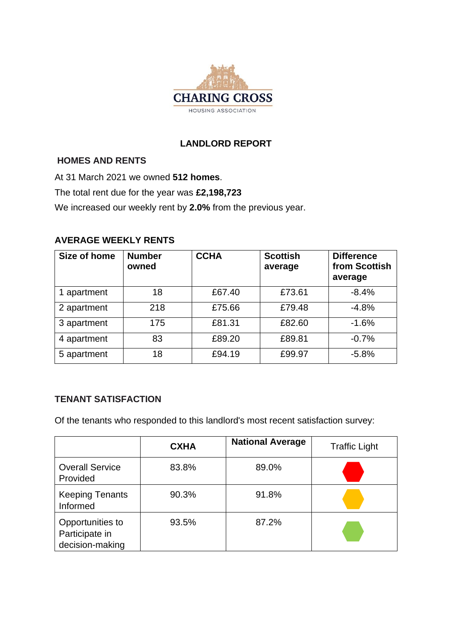

#### **LANDLORD REPORT**

#### **HOMES AND RENTS**

At 31 March 2021 we owned **512 homes**.

The total rent due for the year was **£2,198,723**

We increased our weekly rent by **2.0%** from the previous year.

## **AVERAGE WEEKLY RENTS**

| Size of home | <b>Number</b><br>owned | <b>CCHA</b> | <b>Scottish</b><br>average | <b>Difference</b><br>from Scottish<br>average |
|--------------|------------------------|-------------|----------------------------|-----------------------------------------------|
| 1 apartment  | 18                     | £67.40      | £73.61                     | $-8.4%$                                       |
| 2 apartment  | 218                    | £75.66      | £79.48                     | $-4.8%$                                       |
| 3 apartment  | 175                    | £81.31      | £82.60                     | $-1.6%$                                       |
| 4 apartment  | 83                     | £89.20      | £89.81                     | $-0.7%$                                       |
| 5 apartment  | 18                     | £94.19      | £99.97                     | $-5.8%$                                       |

## **TENANT SATISFACTION**

Of the tenants who responded to this landlord's most recent satisfaction survey:

|                                                       | <b>CXHA</b> | <b>National Average</b> | <b>Traffic Light</b> |
|-------------------------------------------------------|-------------|-------------------------|----------------------|
| <b>Overall Service</b><br>Provided                    | 83.8%       | 89.0%                   |                      |
| <b>Keeping Tenants</b><br>Informed                    | 90.3%       | 91.8%                   |                      |
| Opportunities to<br>Participate in<br>decision-making | 93.5%       | 87.2%                   |                      |